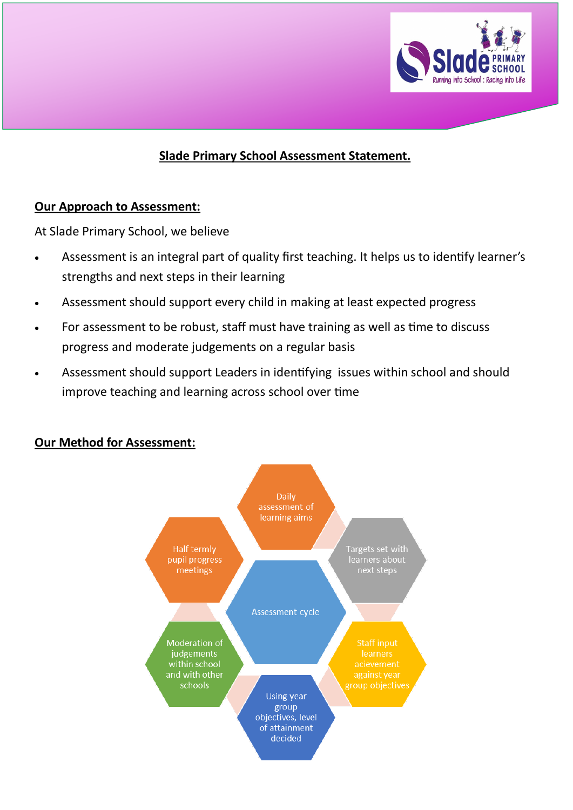

## **Our Approach to Assessment:**

At Slade Primary School, we believe

- Assessment is an integral part of quality first teaching. It helps us to identify learner's strengths and next steps in their learning
- Assessment should support every child in making at least expected progress
- For assessment to be robust, staff must have training as well as time to discuss progress and moderate judgements on a regular basis
- Assessment should support Leaders in identifying issues within school and should improve teaching and learning across school over time



### **Our Method for Assessment:**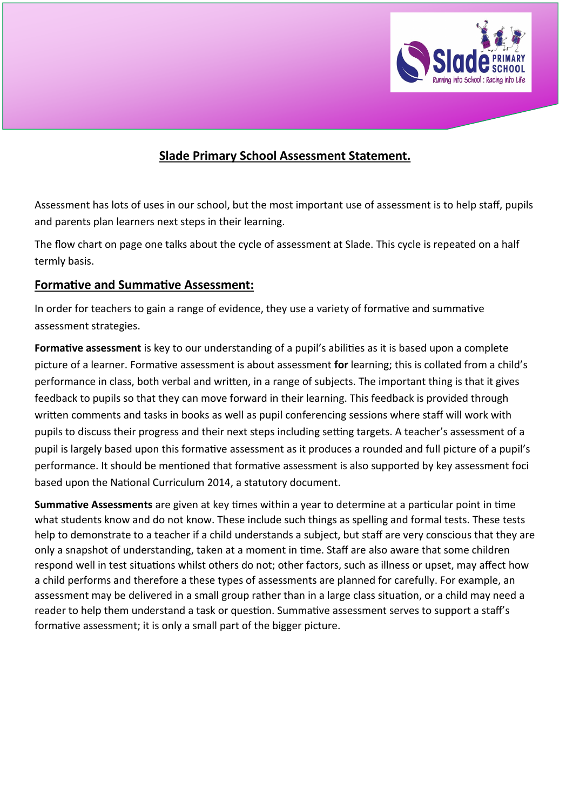

Assessment has lots of uses in our school, but the most important use of assessment is to help staff, pupils and parents plan learners next steps in their learning.

The flow chart on page one talks about the cycle of assessment at Slade. This cycle is repeated on a half termly basis.

### **Formative and Summative Assessment:**

In order for teachers to gain a range of evidence, they use a variety of formative and summative assessment strategies.

**Formative assessment** is key to our understanding of a pupil's abilities as it is based upon a complete picture of a learner. Formative assessment is about assessment **for** learning; this is collated from a child's performance in class, both verbal and written, in a range of subjects. The important thing is that it gives feedback to pupils so that they can move forward in their learning. This feedback is provided through written comments and tasks in books as well as pupil conferencing sessions where staff will work with pupils to discuss their progress and their next steps including setting targets. A teacher's assessment of a pupil is largely based upon this formative assessment as it produces a rounded and full picture of a pupil's performance. It should be mentioned that formative assessment is also supported by key assessment foci based upon the National Curriculum 2014, a statutory document.

**Summative Assessments** are given at key times within a year to determine at a particular point in time what students know and do not know. These include such things as spelling and formal tests. These tests help to demonstrate to a teacher if a child understands a subject, but staff are very conscious that they are only a snapshot of understanding, taken at a moment in time. Staff are also aware that some children respond well in test situations whilst others do not; other factors, such as illness or upset, may affect how a child performs and therefore a these types of assessments are planned for carefully. For example, an assessment may be delivered in a small group rather than in a large class situation, or a child may need a reader to help them understand a task or question. Summative assessment serves to support a staff's formative assessment; it is only a small part of the bigger picture.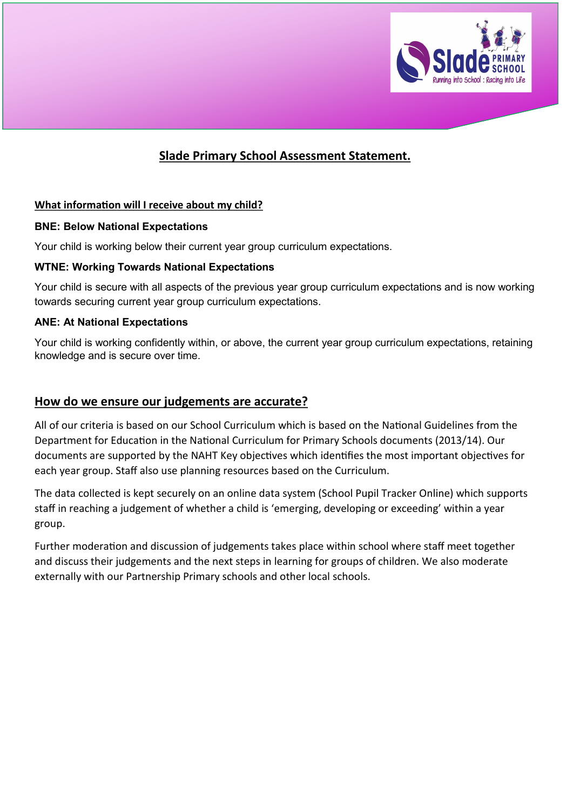

### **What information will I receive about my child?**

#### **BNE: Below National Expectations**

Your child is working below their current year group curriculum expectations.

#### **WTNE: Working Towards National Expectations**

Your child is secure with all aspects of the previous year group curriculum expectations and is now working towards securing current year group curriculum expectations.

#### **ANE: At National Expectations**

Your child is working confidently within, or above, the current year group curriculum expectations, retaining knowledge and is secure over time.

### **How do we ensure our judgements are accurate?**

All of our criteria is based on our School Curriculum which is based on the National Guidelines from the Department for Education in the National Curriculum for Primary Schools documents (2013/14). Our documents are supported by the NAHT Key objectives which identifies the most important objectives for each year group. Staff also use planning resources based on the Curriculum.

The data collected is kept securely on an online data system (School Pupil Tracker Online) which supports staff in reaching a judgement of whether a child is 'emerging, developing or exceeding' within a year group.

Further moderation and discussion of judgements takes place within school where staff meet together and discuss their judgements and the next steps in learning for groups of children. We also moderate externally with our Partnership Primary schools and other local schools.